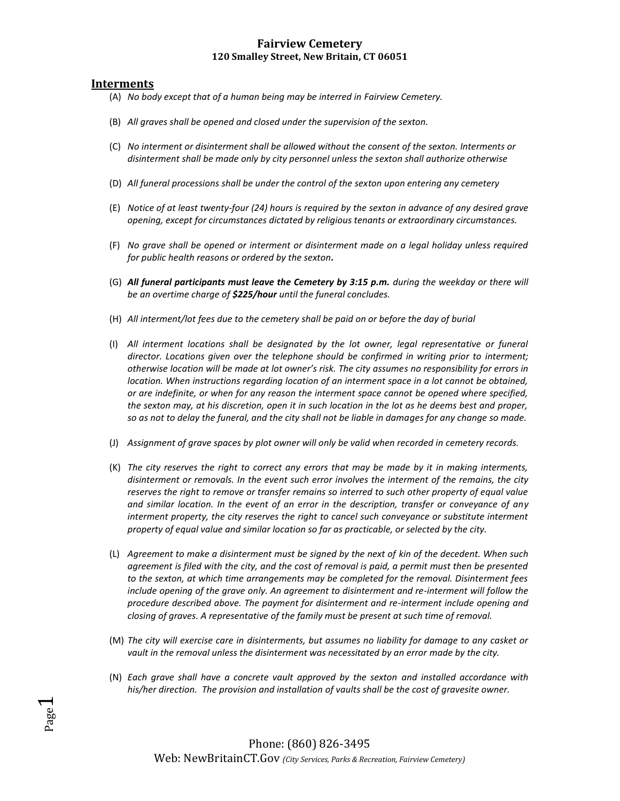### **Fairview Cemetery 120 Smalley Street, New Britain, CT 06051**

#### **Interments**

Page  $\blacktriangledown$ 

- (A) *No body except that of a human being may be interred in Fairview Cemetery.*
- (B) *All graves shall be opened and closed under the supervision of the sexton.*
- (C) *No interment or disinterment shall be allowed without the consent of the sexton. Interments or disinterment shall be made only by city personnel unless the sexton shall authorize otherwise*
- (D) *All funeral processions shall be under the control of the sexton upon entering any cemetery*
- (E) *Notice of at least twenty-four (24) hours is required by the sexton in advance of any desired grave opening, except for circumstances dictated by religious tenants or extraordinary circumstances.*
- (F) *No grave shall be opened or interment or disinterment made on a legal holiday unless required for public health reasons or ordered by the sexton.*
- (G) *All funeral participants must leave the Cemetery by 3:15 p.m. during the weekday or there will be an overtime charge of \$225/hour until the funeral concludes.*
- (H) *All interment/lot fees due to the cemetery shall be paid on or before the day of burial*
- (I) *All interment locations shall be designated by the lot owner, legal representative or funeral director. Locations given over the telephone should be confirmed in writing prior to interment; otherwise location will be made at lot owner's risk. The city assumes no responsibility for errors in location. When instructions regarding location of an interment space in a lot cannot be obtained, or are indefinite, or when for any reason the interment space cannot be opened where specified, the sexton may, at his discretion, open it in such location in the lot as he deems best and proper, so as not to delay the funeral, and the city shall not be liable in damages for any change so made.*
- (J) *Assignment of grave spaces by plot owner will only be valid when recorded in cemetery records.*
- (K) *The city reserves the right to correct any errors that may be made by it in making interments, disinterment or removals. In the event such error involves the interment of the remains, the city reserves the right to remove or transfer remains so interred to such other property of equal value and similar location. In the event of an error in the description, transfer or conveyance of any*  interment property, the city reserves the right to cancel such conveyance or substitute interment *property of equal value and similar location so far as practicable, or selected by the city.*
- (L) *Agreement to make a disinterment must be signed by the next of kin of the decedent. When such agreement is filed with the city, and the cost of removal is paid, a permit must then be presented to the sexton, at which time arrangements may be completed for the removal. Disinterment fees include opening of the grave only. An agreement to disinterment and re-interment will follow the procedure described above. The payment for disinterment and re-interment include opening and closing of graves. A representative of the family must be present at such time of removal.*
- (M) *The city will exercise care in disinterments, but assumes no liability for damage to any casket or vault in the removal unless the disinterment was necessitated by an error made by the city.*
- (N) *Each grave shall have a concrete vault approved by the sexton and installed accordance with his/her direction. The provision and installation of vaults shall be the cost of gravesite owner.*